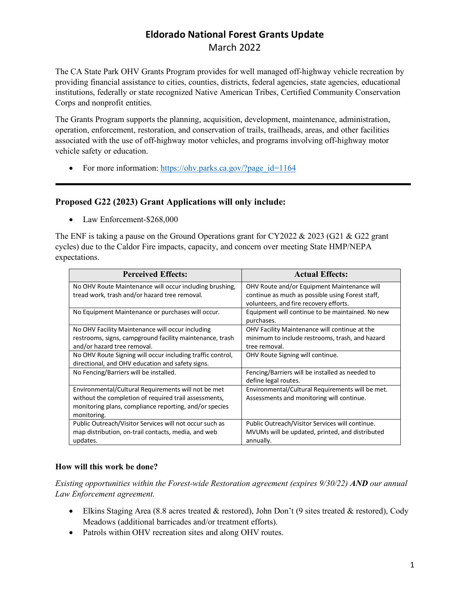# **Eldorado National Forest Grants Update** March 2022

The CA State Park OHV Grants Program provides for well managed off-highway vehicle recreation by providing financial assistance to cities, counties, districts, federal agencies, state agencies, educational institutions, federally or state recognized Native American Tribes, Certified Community Conservation Corps and nonprofit entities.

The Grants Program supports the planning, acquisition, development, maintenance, administration, operation, enforcement, restoration, and conservation of trails, trailheads, areas, and other facilities associated with the use of off-highway motor vehicles, and programs involving off-highway motor vehicle safety or education.

• For more information: https://ohv.parks.ca.gov/?page\_id=1164

#### **Proposed G22 (2023) Grant Applications will only include:**

• Law Enforcement-\$268,000

The ENF is taking a pause on the Ground Operations grant for CY2022 & 2023 (G21 & G22 grant cycles) due to the Caldor Fire impacts, capacity, and concern over meeting State HMP/NEPA expectations.

| <b>Perceived Effects:</b>                                  | <b>Actual Effects:</b>                           |
|------------------------------------------------------------|--------------------------------------------------|
| No OHV Route Maintenance will occur including brushing,    | OHV Route and/or Equipment Maintenance will      |
| tread work, trash and/or hazard tree removal.              | continue as much as possible using Forest staff, |
|                                                            | volunteers, and fire recovery efforts.           |
| No Equipment Maintenance or purchases will occur.          | Equipment will continue to be maintained. No new |
|                                                            | purchases.                                       |
| No OHV Facility Maintenance will occur including           | OHV Facility Maintenance will continue at the    |
| restrooms, signs, campground facility maintenance, trash   | minimum to include restrooms, trash, and hazard  |
| and/or hazard tree removal.                                | tree removal.                                    |
| No OHV Route Signing will occur including traffic control, | OHV Route Signing will continue.                 |
| directional, and OHV education and safety signs.           |                                                  |
| No Fencing/Barriers will be installed.                     | Fencing/Barriers will be installed as needed to  |
|                                                            | define legal routes.                             |
| Environmental/Cultural Requirements will not be met        | Environmental/Cultural Requirements will be met. |
| without the completion of required trail assessments,      | Assessments and monitoring will continue.        |
| monitoring plans, compliance reporting, and/or species     |                                                  |
| monitoring.                                                |                                                  |
| Public Outreach/Visitor Services will not occur such as    | Public Outreach/Visitor Services will continue.  |
| map distribution, on-trail contacts, media, and web        | MVUMs will be updated, printed, and distributed  |
| updates.                                                   | annually.                                        |

#### **How will this work be done?**

*Existing opportunities within the Forest-wide Restoration agreement (expires 9/30/22) AND our annual Law Enforcement agreement.*

- Elkins Staging Area (8.8 acres treated & restored), John Don't (9 sites treated & restored), Cody Meadows (additional barricades and/or treatment efforts).
- Patrols within OHV recreation sites and along OHV routes.